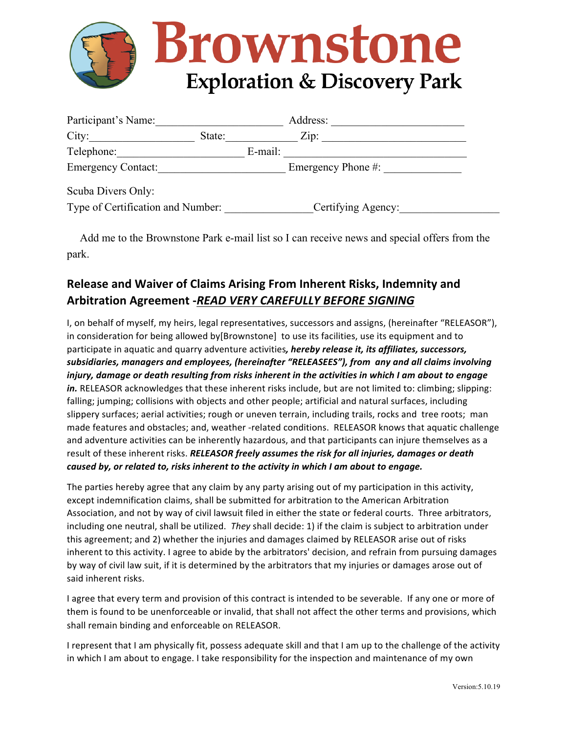

| Participant's Name:               |        |         | Address:           |  |
|-----------------------------------|--------|---------|--------------------|--|
| City:                             | State: |         | Zip:               |  |
| Telephone:                        |        | E-mail: |                    |  |
| <b>Emergency Contact:</b>         |        |         | Emergency Phone #: |  |
| Scuba Divers Only:                |        |         |                    |  |
| Type of Certification and Number: |        |         | Certifying Agency: |  |

 Add me to the Brownstone Park e-mail list so I can receive news and special offers from the park.

## **Release and Waiver of Claims Arising From Inherent Risks, Indemnity and Arbitration Agreement -***READ VERY CAREFULLY BEFORE SIGNING*

I, on behalf of myself, my heirs, legal representatives, successors and assigns, (hereinafter "RELEASOR"), in consideration for being allowed by [Brownstone] to use its facilities, use its equipment and to participate in aquatic and quarry adventure activities, *hereby release it, its affiliates, successors,* subsidiaries, managers and employees, (hereinafter "RELEASEES"), from any and all claims involving *injury, damage or death resulting from risks inherent in the activities in which I am about to engage* in. RELEASOR acknowledges that these inherent risks include, but are not limited to: climbing; slipping: falling; jumping; collisions with objects and other people; artificial and natural surfaces, including slippery surfaces; aerial activities; rough or uneven terrain, including trails, rocks and tree roots; man made features and obstacles; and, weather -related conditions. RELEASOR knows that aquatic challenge and adventure activities can be inherently hazardous, and that participants can injure themselves as a result of these inherent risks. *RELEASOR freely assumes the risk for all injuries, damages or death caused by, or related to, risks inherent to the activity in which I am about to engage.* 

The parties hereby agree that any claim by any party arising out of my participation in this activity, except indemnification claims, shall be submitted for arbitration to the American Arbitration Association, and not by way of civil lawsuit filed in either the state or federal courts. Three arbitrators, including one neutral, shall be utilized. *They* shall decide: 1) if the claim is subject to arbitration under this agreement; and 2) whether the injuries and damages claimed by RELEASOR arise out of risks inherent to this activity. I agree to abide by the arbitrators' decision, and refrain from pursuing damages by way of civil law suit, if it is determined by the arbitrators that my injuries or damages arose out of said inherent risks.

I agree that every term and provision of this contract is intended to be severable. If any one or more of them is found to be unenforceable or invalid, that shall not affect the other terms and provisions, which shall remain binding and enforceable on RELEASOR.

I represent that I am physically fit, possess adequate skill and that I am up to the challenge of the activity in which I am about to engage. I take responsibility for the inspection and maintenance of my own